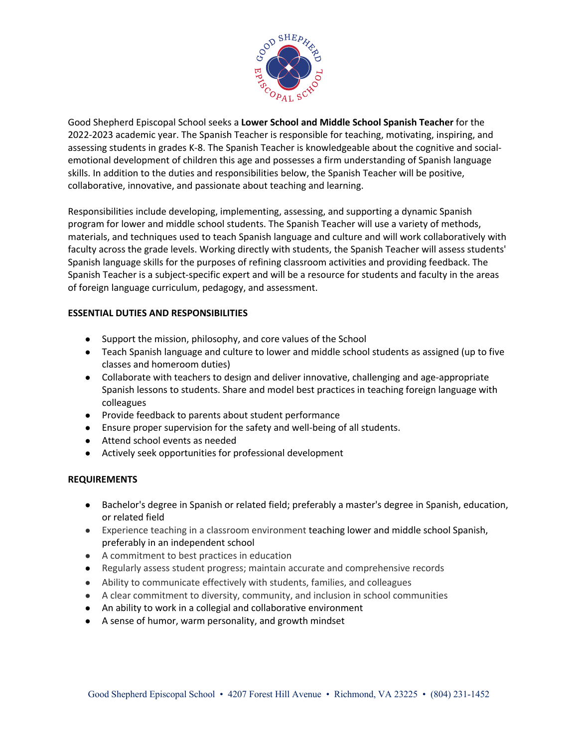

Good Shepherd Episcopal School seeks a **Lower School and Middle School Spanish Teacher** for the 2022-2023 academic year. The Spanish Teacher is responsible for teaching, motivating, inspiring, and assessing students in grades K-8. The Spanish Teacher is knowledgeable about the cognitive and socialemotional development of children this age and possesses a firm understanding of Spanish language skills. In addition to the duties and responsibilities below, the Spanish Teacher will be positive, collaborative, innovative, and passionate about teaching and learning.

Responsibilities include developing, implementing, assessing, and supporting a dynamic Spanish program for lower and middle school students. The Spanish Teacher will use a variety of methods, materials, and techniques used to teach Spanish language and culture and will work collaboratively with faculty across the grade levels. Working directly with students, the Spanish Teacher will assess students' Spanish language skills for the purposes of refining classroom activities and providing feedback. The Spanish Teacher is a subject-specific expert and will be a resource for students and faculty in the areas of foreign language curriculum, pedagogy, and assessment.

## **ESSENTIAL DUTIES AND RESPONSIBILITIES**

- Support the mission, philosophy, and core values of the School
- Teach Spanish language and culture to lower and middle school students as assigned (up to five classes and homeroom duties)
- Collaborate with teachers to design and deliver innovative, challenging and age-appropriate Spanish lessons to students. Share and model best practices in teaching foreign language with colleagues
- Provide feedback to parents about student performance
- Ensure proper supervision for the safety and well-being of all students.
- Attend school events as needed
- Actively seek opportunities for professional development

## **REQUIREMENTS**

- Bachelor's degree in Spanish or related field; preferably a master's degree in Spanish, education, or related field
- Experience teaching in a classroom environment teaching lower and middle school Spanish, preferably in an independent school
- A commitment to best practices in education
- Regularly assess student progress; maintain accurate and comprehensive records
- Ability to communicate effectively with students, families, and colleagues
- A clear commitment to diversity, community, and inclusion in school communities
- An ability to work in a collegial and collaborative environment
- A sense of humor, warm personality, and growth mindset